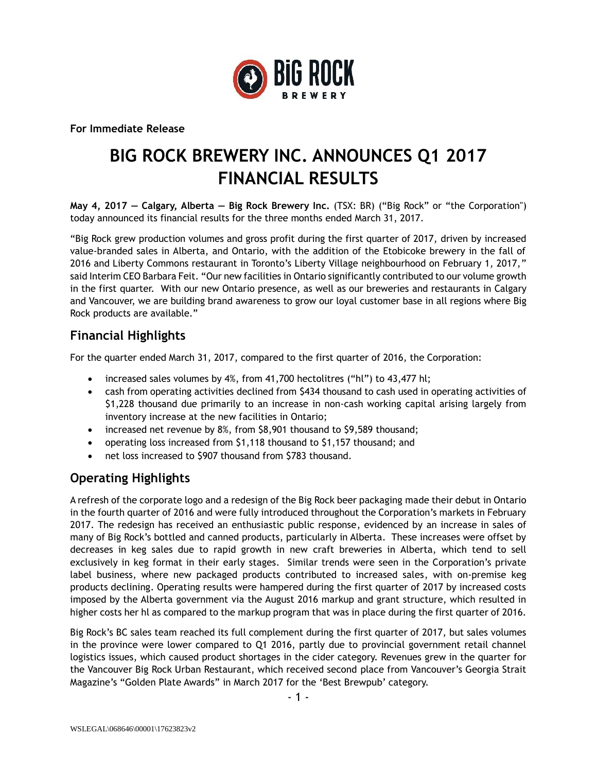

**For Immediate Release**

# **BIG ROCK BREWERY INC. ANNOUNCES Q1 2017 FINANCIAL RESULTS**

**May 4, 2017 — Calgary, Alberta — Big Rock Brewery Inc.** (TSX: BR) ("Big Rock" or "the Corporation") today announced its financial results for the three months ended March 31, 2017.

"Big Rock grew production volumes and gross profit during the first quarter of 2017, driven by increased value-branded sales in Alberta, and Ontario, with the addition of the Etobicoke brewery in the fall of 2016 and Liberty Commons restaurant in Toronto's Liberty Village neighbourhood on February 1, 2017," said Interim CEO Barbara Feit. "Our new facilities in Ontario significantly contributed to our volume growth in the first quarter. With our new Ontario presence, as well as our breweries and restaurants in Calgary and Vancouver, we are building brand awareness to grow our loyal customer base in all regions where Big Rock products are available."

### **Financial Highlights**

For the quarter ended March 31, 2017, compared to the first quarter of 2016, the Corporation:

- increased sales volumes by 4%, from 41,700 hectolitres ("hl") to 43,477 hl;
- cash from operating activities declined from \$434 thousand to cash used in operating activities of \$1,228 thousand due primarily to an increase in non-cash working capital arising largely from inventory increase at the new facilities in Ontario;
- increased net revenue by 8%, from \$8,901 thousand to \$9,589 thousand;
- operating loss increased from \$1,118 thousand to \$1,157 thousand; and
- net loss increased to \$907 thousand from \$783 thousand.

# **Operating Highlights**

A refresh of the corporate logo and a redesign of the Big Rock beer packaging made their debut in Ontario in the fourth quarter of 2016 and were fully introduced throughout the Corporation's markets in February 2017. The redesign has received an enthusiastic public response, evidenced by an increase in sales of many of Big Rock's bottled and canned products, particularly in Alberta. These increases were offset by decreases in keg sales due to rapid growth in new craft breweries in Alberta, which tend to sell exclusively in keg format in their early stages. Similar trends were seen in the Corporation's private label business, where new packaged products contributed to increased sales, with on-premise keg products declining. Operating results were hampered during the first quarter of 2017 by increased costs imposed by the Alberta government via the August 2016 markup and grant structure, which resulted in higher costs her hl as compared to the markup program that was in place during the first quarter of 2016.

Big Rock's BC sales team reached its full complement during the first quarter of 2017, but sales volumes in the province were lower compared to Q1 2016, partly due to provincial government retail channel logistics issues, which caused product shortages in the cider category. Revenues grew in the quarter for the Vancouver Big Rock Urban Restaurant, which received second place from Vancouver's Georgia Strait Magazine's "Golden Plate Awards" in March 2017 for the 'Best Brewpub' category.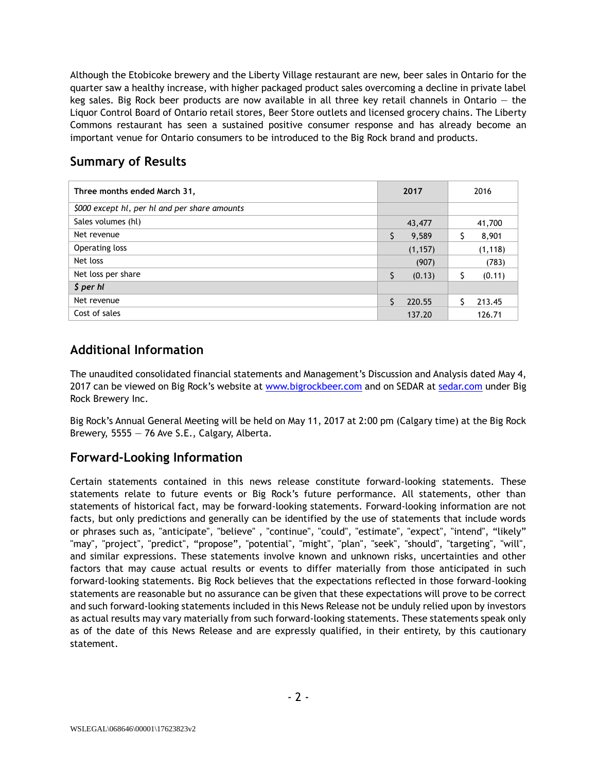Although the Etobicoke brewery and the Liberty Village restaurant are new, beer sales in Ontario for the quarter saw a healthy increase, with higher packaged product sales overcoming a decline in private label keg sales. Big Rock beer products are now available in all three key retail channels in Ontario — the Liquor Control Board of Ontario retail stores, Beer Store outlets and licensed grocery chains. The Liberty Commons restaurant has seen a sustained positive consumer response and has already become an important venue for Ontario consumers to be introduced to the Big Rock brand and products.

## **Summary of Results**

| Three months ended March 31,                  | 2017         | 2016     |
|-----------------------------------------------|--------------|----------|
| \$000 except hl, per hl and per share amounts |              |          |
| Sales volumes (hl)                            | 43,477       | 41,700   |
| Net revenue                                   | S<br>9,589   | 8,901    |
| Operating loss                                | (1, 157)     | (1, 118) |
| Net loss                                      | (907)        | (783)    |
| Net loss per share                            | \$<br>(0.13) | (0.11)   |
| \$ per hl                                     |              |          |
| Net revenue                                   | 220.55       | 213.45   |
| Cost of sales                                 | 137.20       | 126.71   |

# **Additional Information**

The unaudited consolidated financial statements and Management's Discussion and Analysis dated May 4, 2017 can be viewed on Big Rock's website at [www.bigrockbeer.com](http://www.bigrockbeer.com/) and on SEDAR at [sedar.com](http://www.sedar.com/) under Big Rock Brewery Inc.

Big Rock's Annual General Meeting will be held on May 11, 2017 at 2:00 pm (Calgary time) at the Big Rock Brewery, 5555 — 76 Ave S.E., Calgary, Alberta.

# **Forward-Looking Information**

Certain statements contained in this news release constitute forward-looking statements. These statements relate to future events or Big Rock's future performance. All statements, other than statements of historical fact, may be forward-looking statements. Forward-looking information are not facts, but only predictions and generally can be identified by the use of statements that include words or phrases such as, "anticipate", "believe" , "continue", "could", "estimate", "expect", "intend", "likely" "may", "project", "predict", "propose", "potential", "might", "plan", "seek", "should", "targeting", "will", and similar expressions. These statements involve known and unknown risks, uncertainties and other factors that may cause actual results or events to differ materially from those anticipated in such forward-looking statements. Big Rock believes that the expectations reflected in those forward-looking statements are reasonable but no assurance can be given that these expectations will prove to be correct and such forward-looking statements included in this News Release not be unduly relied upon by investors as actual results may vary materially from such forward-looking statements. These statements speak only as of the date of this News Release and are expressly qualified, in their entirety, by this cautionary statement.